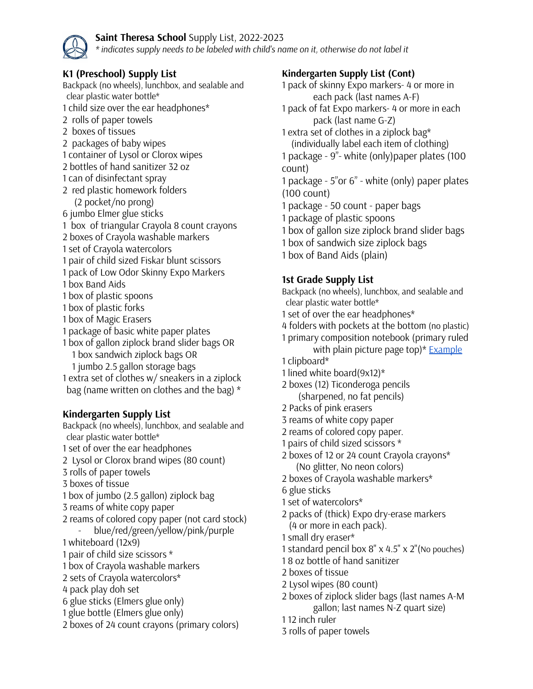## **Saint Theresa School** Supply List, 2022-2023

*\* indicates supply needs to be labeled with child's name on it, otherwise do not label it*

# **K1 (Preschool) Supply List**

Backpack (no wheels), lunchbox, and sealable and clear plastic water bottle\* child size over the ear headphones\* rolls of paper towels boxes of tissues packages of baby wipes container of Lysol or Clorox wipes bottles of hand sanitizer 32 oz can of disinfectant spray red plastic homework folders (2 pocket/no prong) jumbo Elmer glue sticks box of triangular Crayola 8 count crayons boxes of Crayola washable markers set of Crayola watercolors pair of child sized Fiskar blunt scissors pack of Low Odor Skinny Expo Markers box Band Aids box of plastic spoons box of plastic forks box of Magic Erasers package of basic white paper plates box of gallon ziplock brand slider bags OR box sandwich ziplock bags OR jumbo 2.5 gallon storage bags extra set of clothes w/ sneakers in a ziplock bag (name written on clothes and the bag) \* **Kindergarten Supply List** Backpack (no wheels), lunchbox, and sealable and clear plastic water bottle\* set of over the ear headphones Lysol or Clorox brand wipes (80 count) rolls of paper towels boxes of tissue box of jumbo (2.5 gallon) ziplock bag reams of white copy paper reams of colored copy paper (not card stock)

- blue/red/green/yellow/pink/purple whiteboard (12x9)
- pair of child size scissors \*
- box of Crayola washable markers
- sets of Crayola watercolors\*
- pack play doh set
- glue sticks (Elmers glue only)
- glue bottle (Elmers glue only)
- boxes of 24 count crayons (primary colors)

## **Kindergarten Supply List (Cont)**

 pack of skinny Expo markers- 4 or more in each pack (last names A-F) pack of fat Expo markers- 4 or more in each pack (last name G-Z) extra set of clothes in a ziplock bag\* (individually label each item of clothing) package - 9"- white (only)paper plates (100 count) package - 5"or 6" - white (only) paper plates (100 count) package - 50 count - paper bags package of plastic spoons box of gallon size ziplock brand slider bags box of sandwich size ziplock bags box of Band Aids (plain)

## **1st Grade Supply List**

Backpack (no wheels), lunchbox, and sealable and clear plastic water bottle\*

- set of over the ear headphones\*
- folders with pockets at the bottom (no plastic)
- primary composition notebook (primary ruled
	- with plain picture page top) $*$  [Example](https://www.staples.com/Staples-Primary-Composition-Book-9-3-4-x-7-1-2/product_127173)
- clipboard\*
- lined white board(9x12)\*

 boxes (12) Ticonderoga pencils (sharpened, no fat pencils)

- Packs of pink erasers
- reams of white copy paper
- reams of colored copy paper.
- pairs of child sized scissors \*
- boxes of 12 or 24 count Crayola crayons\* (No glitter, No neon colors)
- boxes of Crayola washable markers\*

glue sticks

- set of watercolors\*
- packs of (thick) Expo dry-erase markers (4 or more in each pack).
- small dry eraser\*
- standard pencil box 8" x 4.5" x 2"(No pouches)
- 8 oz bottle of hand sanitizer
- boxes of tissue
- Lysol wipes (80 count)
- boxes of ziplock slider bags (last names A-M gallon; last names N-Z quart size)
- 12 inch ruler
- rolls of paper towels

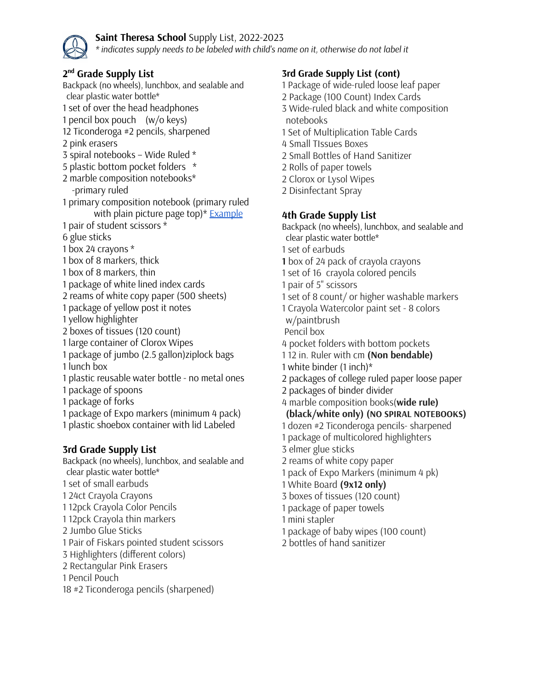

#### **Saint Theresa School** Supply List, 2022-2023

*\* indicates supply needs to be labeled with child's name on it, otherwise do not label it*

## **nd Grade Supply List**

Backpack (no wheels), lunchbox, and sealable and clear plastic water bottle\* set of over the head headphones pencil box pouch (w/o keys) Ticonderoga #2 pencils, sharpened pink erasers spiral notebooks – Wide Ruled \* plastic bottom pocket folders \* marble composition notebooks\* -primary ruled primary composition notebook (primary ruled with plain picture page top)\* **[Example](https://www.staples.com/Staples-Primary-Composition-Book-9-3-4-x-7-1-2/product_127173)**  pair of student scissors \* glue sticks box 24 crayons \* box of 8 markers, thick box of 8 markers, thin package of white lined index cards reams of white copy paper (500 sheets) package of yellow post it notes yellow highlighter boxes of tissues (120 count) large container of Clorox Wipes package of jumbo (2.5 gallon)ziplock bags lunch box plastic reusable water bottle - no metal ones package of spoons package of forks package of Expo markers (minimum 4 pack) plastic shoebox container with lid Labeled

### **3rd Grade Supply List**

Backpack (no wheels), lunchbox, and sealable and clear plastic water bottle\* set of small earbuds 24ct Crayola Crayons 12pck Crayola Color Pencils 12pck Crayola thin markers Jumbo Glue Sticks Pair of Fiskars pointed student scissors Highlighters (different colors) Rectangular Pink Erasers Pencil Pouch #2 Ticonderoga pencils (sharpened)

### **3rd Grade Supply List (cont)**

- Package of wide-ruled loose leaf paper
- Package (100 Count) Index Cards
- Wide-ruled black and white composition notebooks
- Set of Multiplication Table Cards
- Small TIssues Boxes
- Small Bottles of Hand Sanitizer
- Rolls of paper towels
- Clorox or Lysol Wipes
- Disinfectant Spray

#### **4th Grade Supply List**

Backpack (no wheels), lunchbox, and sealable and clear plastic water bottle\*

- set of earbuds
- box of 24 pack of crayola crayons
- set of 16 crayola colored pencils
- pair of 5" scissors
- set of 8 count/ or higher washable markers
- Crayola Watercolor paint set 8 colors w/paintbrush
- Pencil box
- pocket folders with bottom pockets
- 12 in. Ruler with cm **(Non bendable)**
- white binder (1 inch)\*
- packages of college ruled paper loose paper
- packages of binder divider
- marble composition books(**wide rule)**

**(black/white only) (NO SPIRAL NOTEBOOKS)**

- dozen #2 Ticonderoga pencils- sharpened
- package of multicolored highlighters
- elmer glue sticks
- reams of white copy paper
- pack of Expo Markers (minimum 4 pk)
- White Board **(9x12 only)**
- boxes of tissues (120 count)
- package of paper towels
- mini stapler
- package of baby wipes (100 count)
- bottles of hand sanitizer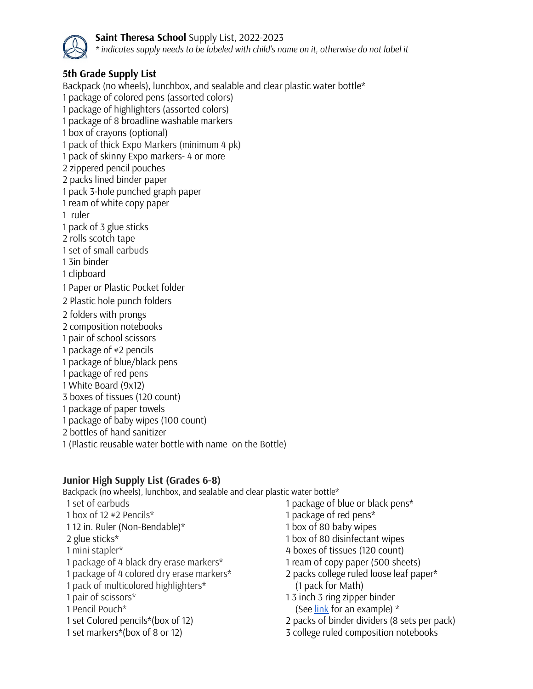

**Saint Theresa School** Supply List, 2022-2023 *\* indicates supply needs to be labeled with child's name on it, otherwise do not label it*

# **5th Grade Supply List**

Backpack (no wheels), lunchbox, and sealable and clear plastic water bottle\* package of colored pens (assorted colors) package of highlighters (assorted colors) package of 8 broadline washable markers box of crayons (optional) pack of thick Expo Markers (minimum 4 pk) pack of skinny Expo markers- 4 or more zippered pencil pouches packs lined binder paper pack 3-hole punched graph paper ream of white copy paper ruler pack of 3 glue sticks rolls scotch tape set of small earbuds 3in binder clipboard Paper or Plastic Pocket folder Plastic hole punch folders folders with prongs composition notebooks pair of school scissors package of #2 pencils package of blue/black pens package of red pens White Board (9x12) boxes of tissues (120 count) package of paper towels package of baby wipes (100 count) bottles of hand sanitizer (Plastic reusable water bottle with name on the Bottle)

## **Junior High Supply List (Grades 6-8)**

Backpack (no wheels), lunchbox, and sealable and clear plastic water bottle\*

- set of earbuds box of 12 #2 Pencils\* 12 in. Ruler (Non-Bendable)\* glue sticks\* mini stapler\* package of 4 black dry erase markers\* package of 4 colored dry erase markers\* pack of multicolored highlighters\* pair of scissors\* Pencil Pouch\* set Colored pencils\*(box of 12) set markers\*(box of 8 or 12)
- package of blue or black pens\* package of red pens\* box of 80 baby wipes box of 80 disinfectant wipes boxes of tissues (120 count) ream of copy paper (500 sheets) packs college ruled loose leaf paper\*
- (1 pack for Math) 3 inch 3 ring zipper binder
- (See  $\frac{\text{link}}{\text{fork}}$  $\frac{\text{link}}{\text{fork}}$  $\frac{\text{link}}{\text{fork}}$  for an example)  $*$
- packs of binder dividers (8 sets per pack)
- college ruled composition notebooks